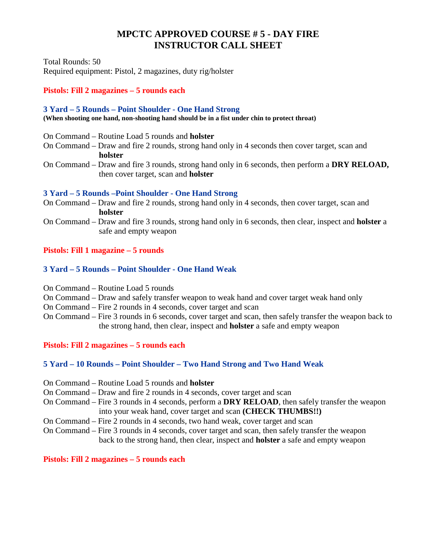# **MPCTC APPROVED COURSE # 5 - DAY FIRE INSTRUCTOR CALL SHEET**

Total Rounds: 50 Required equipment: Pistol, 2 magazines, duty rig/holster

## **Pistols: Fill 2 magazines – 5 rounds each**

#### **3 Yard – 5 Rounds – Point Shoulder - One Hand Strong**

**(When shooting one hand, non-shooting hand should be in a fist under chin to protect throat)**

- On Command Routine Load 5 rounds and **holster**
- On Command Draw and fire 2 rounds, strong hand only in 4 seconds then cover target, scan and **holster**
- On Command Draw and fire 3 rounds, strong hand only in 6 seconds, then perform a **DRY RELOAD,**  then cover target, scan and **holster**

## **3 Yard – 5 Rounds –Point Shoulder - One Hand Strong**

- On Command Draw and fire 2 rounds, strong hand only in 4 seconds, then cover target, scan and **holster**
- On Command Draw and fire 3 rounds, strong hand only in 6 seconds, then clear, inspect and **holster** a safe and empty weapon

# **Pistols: Fill 1 magazine – 5 rounds**

# **3 Yard – 5 Rounds – Point Shoulder - One Hand Weak**

- On Command Routine Load 5 rounds
- On Command Draw and safely transfer weapon to weak hand and cover target weak hand only
- On Command Fire 2 rounds in 4 seconds, cover target and scan
- On Command Fire 3 rounds in 6 seconds, cover target and scan, then safely transfer the weapon back to the strong hand, then clear, inspect and **holster** a safe and empty weapon

# **Pistols: Fill 2 magazines – 5 rounds each**

# **5 Yard – 10 Rounds – Point Shoulder – Two Hand Strong and Two Hand Weak**

- On Command Routine Load 5 rounds and **holster**
- On Command Draw and fire 2 rounds in 4 seconds, cover target and scan
- On Command Fire 3 rounds in 4 seconds, perform a **DRY RELOAD**, then safely transfer the weapon into your weak hand, cover target and scan **(CHECK THUMBS!!)**
- On Command Fire 2 rounds in 4 seconds, two hand weak, cover target and scan
- On Command Fire 3 rounds in 4 seconds, cover target and scan, then safely transfer the weapon back to the strong hand, then clear, inspect and **holster** a safe and empty weapon

#### **Pistols: Fill 2 magazines – 5 rounds each**